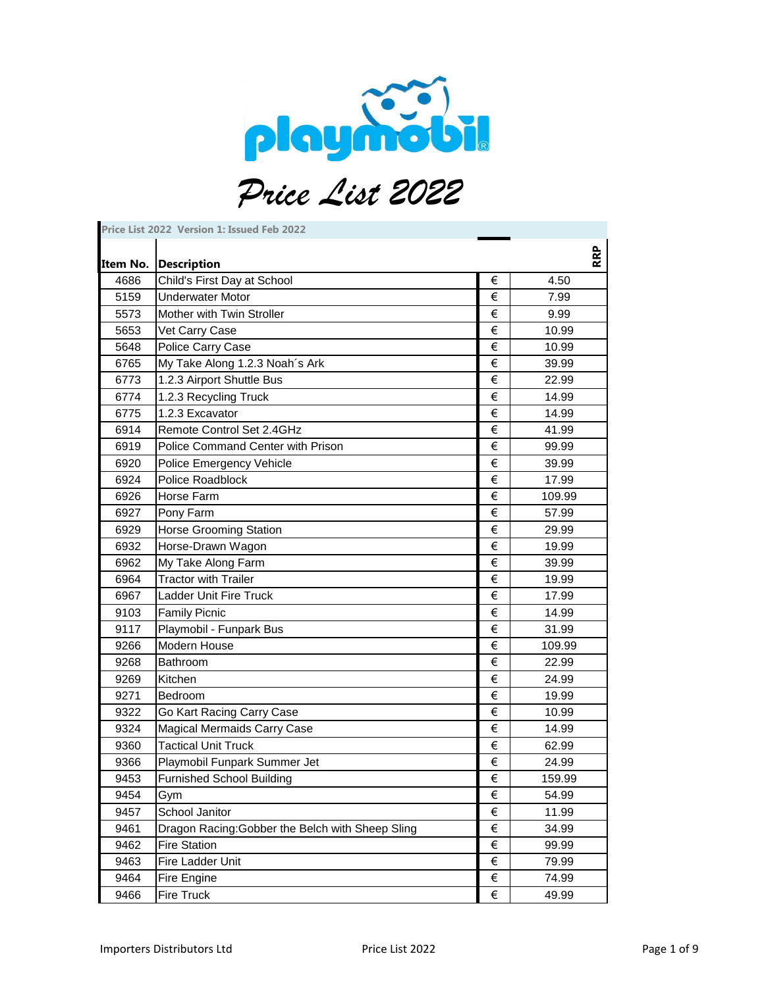

| Price List 2022 Version 1: Issued Feb 2022 |                                                  |                       |        |
|--------------------------------------------|--------------------------------------------------|-----------------------|--------|
| Item No.                                   | <b>Description</b>                               |                       | RRP    |
| 4686                                       | Child's First Day at School                      | €                     | 4.50   |
| 5159                                       | <b>Underwater Motor</b>                          | €                     | 7.99   |
| 5573                                       | Mother with Twin Stroller                        | €                     | 9.99   |
| 5653                                       | Vet Carry Case                                   | €                     | 10.99  |
| 5648                                       | Police Carry Case                                | €                     | 10.99  |
| 6765                                       | My Take Along 1.2.3 Noah's Ark                   | €                     | 39.99  |
| 6773                                       | 1.2.3 Airport Shuttle Bus                        | €                     | 22.99  |
| 6774                                       | 1.2.3 Recycling Truck                            | €                     | 14.99  |
| 6775                                       | 1.2.3 Excavator                                  | €                     | 14.99  |
| 6914                                       | Remote Control Set 2.4GHz                        | €                     | 41.99  |
| 6919                                       | Police Command Center with Prison                | €                     | 99.99  |
| 6920                                       | Police Emergency Vehicle                         | €                     | 39.99  |
| 6924                                       | Police Roadblock                                 | €                     | 17.99  |
| 6926                                       | Horse Farm                                       | €                     | 109.99 |
| 6927                                       | Pony Farm                                        | €                     | 57.99  |
| 6929                                       | <b>Horse Grooming Station</b>                    | €                     | 29.99  |
| 6932                                       | Horse-Drawn Wagon                                | €                     | 19.99  |
| 6962                                       | My Take Along Farm                               | €                     | 39.99  |
| 6964                                       | <b>Tractor with Trailer</b>                      | €                     | 19.99  |
| 6967                                       | <b>Ladder Unit Fire Truck</b>                    | €                     | 17.99  |
| 9103                                       | <b>Family Picnic</b>                             | €                     | 14.99  |
| 9117                                       | Playmobil - Funpark Bus                          | €                     | 31.99  |
| 9266                                       | Modern House                                     | €                     | 109.99 |
| 9268                                       | Bathroom                                         | €                     | 22.99  |
| 9269                                       | Kitchen                                          | €                     | 24.99  |
| 9271                                       | Bedroom                                          | €                     | 19.99  |
| 9322                                       | Go Kart Racing Carry Case                        | €                     | 10.99  |
| 9324                                       | <b>Magical Mermaids Carry Case</b>               | €                     | 14.99  |
| 9360                                       | <b>Tactical Unit Truck</b>                       | €                     | 62.99  |
| 9366                                       | Playmobil Funpark Summer Jet                     | €                     | 24.99  |
| 9453                                       | <b>Furnished School Building</b>                 | $\overline{\epsilon}$ | 159.99 |
| 9454                                       | Gym                                              | €                     | 54.99  |
| 9457                                       | School Janitor                                   | €                     | 11.99  |
| 9461                                       | Dragon Racing: Gobber the Belch with Sheep Sling | €                     | 34.99  |
| 9462                                       | <b>Fire Station</b>                              | €                     | 99.99  |
| 9463                                       | Fire Ladder Unit                                 | €                     | 79.99  |
| 9464                                       | Fire Engine                                      | $\in$                 | 74.99  |
| 9466                                       | Fire Truck                                       | $\in$                 | 49.99  |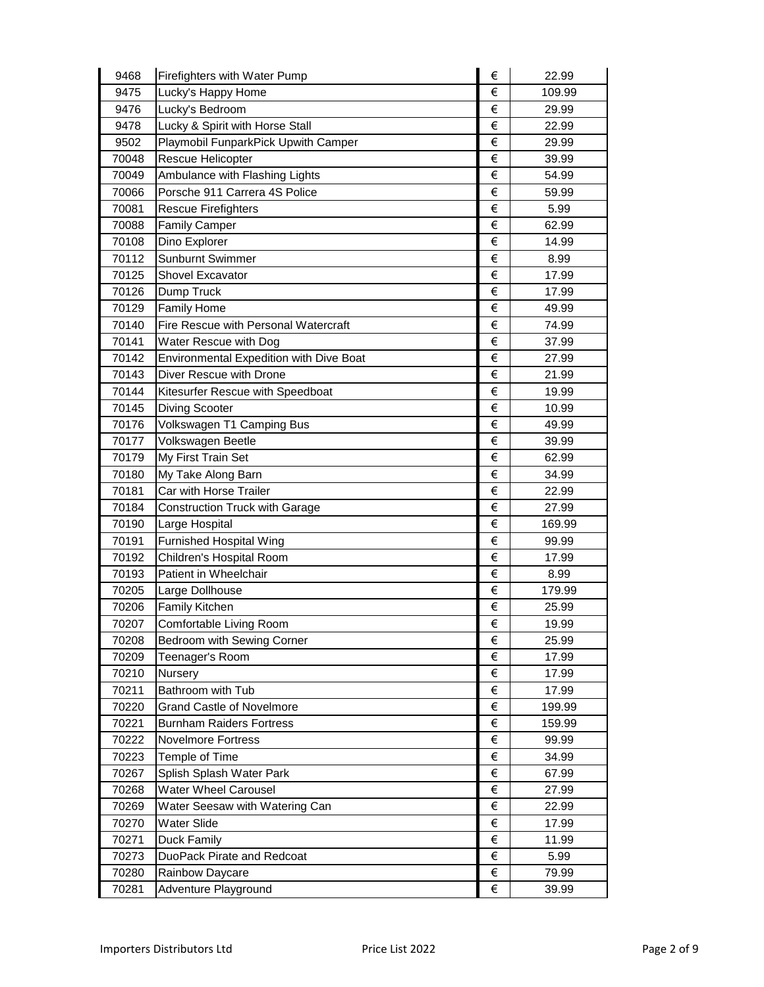| 9468  | Firefighters with Water Pump            | € | 22.99  |
|-------|-----------------------------------------|---|--------|
| 9475  | Lucky's Happy Home                      | € | 109.99 |
| 9476  | Lucky's Bedroom                         | € | 29.99  |
| 9478  | Lucky & Spirit with Horse Stall         | € | 22.99  |
| 9502  | Playmobil FunparkPick Upwith Camper     | € | 29.99  |
| 70048 | Rescue Helicopter                       | € | 39.99  |
| 70049 | Ambulance with Flashing Lights          | € | 54.99  |
| 70066 | Porsche 911 Carrera 4S Police           | € | 59.99  |
| 70081 | <b>Rescue Firefighters</b>              | € | 5.99   |
| 70088 | <b>Family Camper</b>                    | € | 62.99  |
| 70108 | Dino Explorer                           | € | 14.99  |
| 70112 | Sunburnt Swimmer                        | € | 8.99   |
| 70125 | Shovel Excavator                        | € | 17.99  |
| 70126 | Dump Truck                              | € | 17.99  |
| 70129 | <b>Family Home</b>                      | € | 49.99  |
| 70140 | Fire Rescue with Personal Watercraft    | € | 74.99  |
| 70141 | Water Rescue with Dog                   | € | 37.99  |
| 70142 | Environmental Expedition with Dive Boat | € | 27.99  |
| 70143 | Diver Rescue with Drone                 | € | 21.99  |
| 70144 | Kitesurfer Rescue with Speedboat        | € | 19.99  |
| 70145 | <b>Diving Scooter</b>                   | € | 10.99  |
| 70176 | Volkswagen T1 Camping Bus               | € | 49.99  |
| 70177 | Volkswagen Beetle                       | € | 39.99  |
| 70179 | My First Train Set                      | € | 62.99  |
| 70180 | My Take Along Barn                      | € | 34.99  |
| 70181 | Car with Horse Trailer                  | € | 22.99  |
| 70184 | <b>Construction Truck with Garage</b>   | € | 27.99  |
| 70190 | Large Hospital                          | € | 169.99 |
| 70191 | <b>Furnished Hospital Wing</b>          | € | 99.99  |
| 70192 | Children's Hospital Room                | € | 17.99  |
| 70193 | Patient in Wheelchair                   | € | 8.99   |
| 70205 | Large Dollhouse                         | € | 179.99 |
| 70206 | <b>Family Kitchen</b>                   | € | 25.99  |
| 70207 | Comfortable Living Room                 | € | 19.99  |
| 70208 | Bedroom with Sewing Corner              | € | 25.99  |
| 70209 | Teenager's Room                         | € | 17.99  |
| 70210 | <b>Nursery</b>                          | € | 17.99  |
| 70211 | Bathroom with Tub                       | € | 17.99  |
| 70220 | <b>Grand Castle of Novelmore</b>        | € | 199.99 |
| 70221 | <b>Burnham Raiders Fortress</b>         | € | 159.99 |
| 70222 | <b>Novelmore Fortress</b>               | € | 99.99  |
| 70223 | Temple of Time                          | € | 34.99  |
| 70267 | Splish Splash Water Park                | € | 67.99  |
| 70268 | Water Wheel Carousel                    | € | 27.99  |
| 70269 | Water Seesaw with Watering Can          | € | 22.99  |
| 70270 | Water Slide                             | € | 17.99  |
| 70271 | Duck Family                             | € | 11.99  |
| 70273 | DuoPack Pirate and Redcoat              | € | 5.99   |
| 70280 | Rainbow Daycare                         | € | 79.99  |
| 70281 | Adventure Playground                    | € | 39.99  |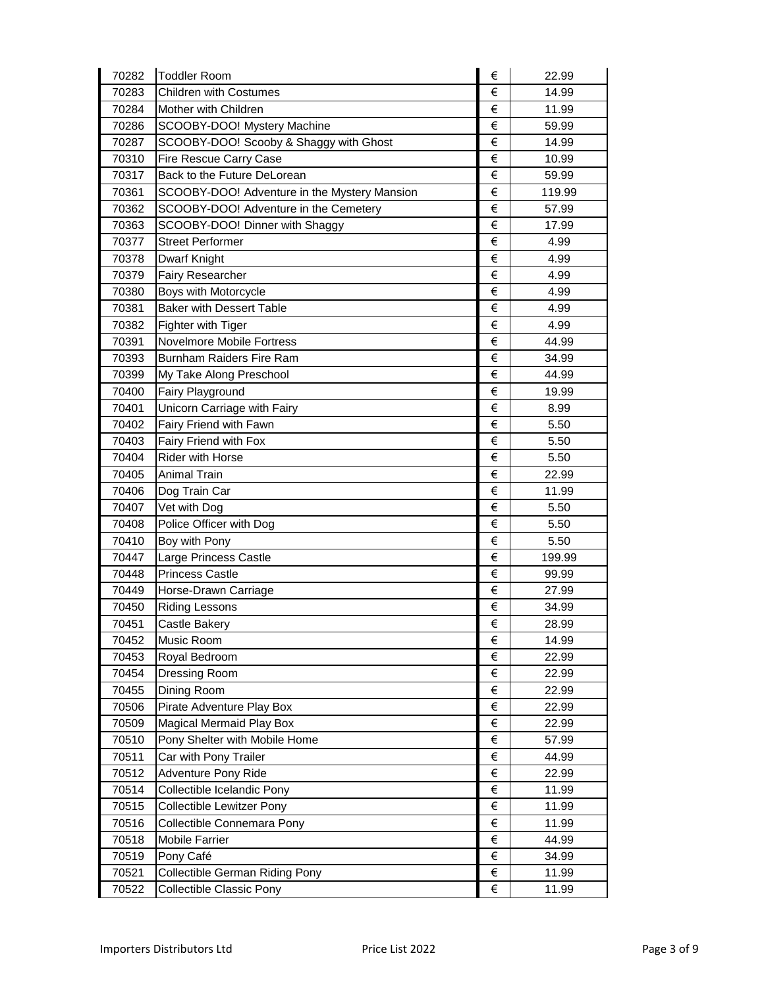| 70282 | <b>Toddler Room</b>                          | € | 22.99  |
|-------|----------------------------------------------|---|--------|
| 70283 | <b>Children with Costumes</b>                | € | 14.99  |
| 70284 | Mother with Children                         | € | 11.99  |
| 70286 | SCOOBY-DOO! Mystery Machine                  | € | 59.99  |
| 70287 | SCOOBY-DOO! Scooby & Shaggy with Ghost       | € | 14.99  |
| 70310 | Fire Rescue Carry Case                       | € | 10.99  |
| 70317 | Back to the Future DeLorean                  | € | 59.99  |
| 70361 | SCOOBY-DOO! Adventure in the Mystery Mansion | € | 119.99 |
| 70362 | SCOOBY-DOO! Adventure in the Cemetery        | € | 57.99  |
| 70363 | SCOOBY-DOO! Dinner with Shaggy               | € | 17.99  |
| 70377 | <b>Street Performer</b>                      | € | 4.99   |
| 70378 | Dwarf Knight                                 | € | 4.99   |
| 70379 | Fairy Researcher                             | € | 4.99   |
| 70380 | Boys with Motorcycle                         | € | 4.99   |
| 70381 | <b>Baker with Dessert Table</b>              | € | 4.99   |
| 70382 | Fighter with Tiger                           | € | 4.99   |
| 70391 | Novelmore Mobile Fortress                    | € | 44.99  |
| 70393 | <b>Burnham Raiders Fire Ram</b>              | € | 34.99  |
| 70399 | My Take Along Preschool                      | € | 44.99  |
| 70400 | Fairy Playground                             | € | 19.99  |
| 70401 | Unicorn Carriage with Fairy                  | € | 8.99   |
| 70402 | Fairy Friend with Fawn                       | € | 5.50   |
| 70403 | Fairy Friend with Fox                        | € | 5.50   |
| 70404 | <b>Rider with Horse</b>                      | € | 5.50   |
| 70405 | <b>Animal Train</b>                          | € | 22.99  |
| 70406 | Dog Train Car                                | € | 11.99  |
| 70407 | Vet with Dog                                 | € | 5.50   |
| 70408 | Police Officer with Dog                      | € | 5.50   |
| 70410 | Boy with Pony                                | € | 5.50   |
| 70447 | Large Princess Castle                        | € | 199.99 |
| 70448 | <b>Princess Castle</b>                       | € | 99.99  |
| 70449 | Horse-Drawn Carriage                         | € | 27.99  |
| 70450 | <b>Riding Lessons</b>                        | € | 34.99  |
| 70451 | Castle Bakery                                | € | 28.99  |
| 70452 | Music Room                                   | € | 14.99  |
| 70453 | Royal Bedroom                                | € | 22.99  |
| 70454 | Dressing Room                                | € | 22.99  |
| 70455 | Dining Room                                  | € | 22.99  |
| 70506 | Pirate Adventure Play Box                    | € | 22.99  |
| 70509 | Magical Mermaid Play Box                     | € | 22.99  |
| 70510 | Pony Shelter with Mobile Home                | € | 57.99  |
| 70511 | Car with Pony Trailer                        | € | 44.99  |
| 70512 | Adventure Pony Ride                          | € | 22.99  |
| 70514 | Collectible Icelandic Pony                   | € | 11.99  |
| 70515 | Collectible Lewitzer Pony                    | € | 11.99  |
| 70516 | Collectible Connemara Pony                   | € | 11.99  |
| 70518 | <b>Mobile Farrier</b>                        | € | 44.99  |
| 70519 | Pony Café                                    | € | 34.99  |
| 70521 | Collectible German Riding Pony               | € | 11.99  |
| 70522 | Collectible Classic Pony                     | € | 11.99  |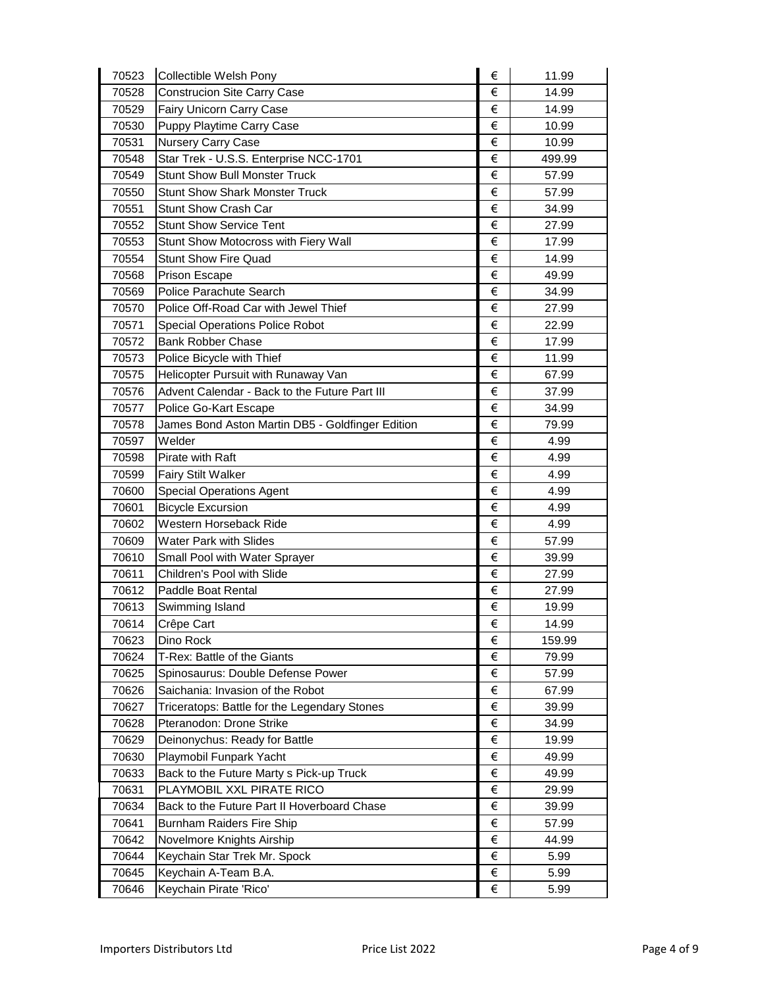| 70523 | Collectible Welsh Pony                           | € | 11.99  |
|-------|--------------------------------------------------|---|--------|
| 70528 | <b>Construcion Site Carry Case</b>               | € | 14.99  |
| 70529 | Fairy Unicorn Carry Case                         | € | 14.99  |
| 70530 | Puppy Playtime Carry Case                        | € | 10.99  |
| 70531 | Nursery Carry Case                               | € | 10.99  |
| 70548 | Star Trek - U.S.S. Enterprise NCC-1701           | € | 499.99 |
| 70549 | <b>Stunt Show Bull Monster Truck</b>             | € | 57.99  |
| 70550 | <b>Stunt Show Shark Monster Truck</b>            | € | 57.99  |
| 70551 | <b>Stunt Show Crash Car</b>                      | € | 34.99  |
| 70552 | <b>Stunt Show Service Tent</b>                   | € | 27.99  |
| 70553 | Stunt Show Motocross with Fiery Wall             | € | 17.99  |
| 70554 | <b>Stunt Show Fire Quad</b>                      | € | 14.99  |
| 70568 | <b>Prison Escape</b>                             | € | 49.99  |
| 70569 | Police Parachute Search                          | € | 34.99  |
| 70570 | Police Off-Road Car with Jewel Thief             | € | 27.99  |
| 70571 | <b>Special Operations Police Robot</b>           | € | 22.99  |
| 70572 | <b>Bank Robber Chase</b>                         | € | 17.99  |
| 70573 | Police Bicycle with Thief                        | € | 11.99  |
| 70575 | Helicopter Pursuit with Runaway Van              | € | 67.99  |
| 70576 | Advent Calendar - Back to the Future Part III    | € | 37.99  |
| 70577 | Police Go-Kart Escape                            | € | 34.99  |
| 70578 | James Bond Aston Martin DB5 - Goldfinger Edition | € | 79.99  |
| 70597 | Welder                                           | € | 4.99   |
| 70598 | Pirate with Raft                                 | € | 4.99   |
| 70599 | <b>Fairy Stilt Walker</b>                        | € | 4.99   |
| 70600 | <b>Special Operations Agent</b>                  | € | 4.99   |
| 70601 | <b>Bicycle Excursion</b>                         | € | 4.99   |
| 70602 | Western Horseback Ride                           | € | 4.99   |
| 70609 | <b>Water Park with Slides</b>                    | € | 57.99  |
| 70610 | Small Pool with Water Sprayer                    | € | 39.99  |
| 70611 | Children's Pool with Slide                       | € | 27.99  |
| 70612 | <b>Paddle Boat Rental</b>                        | € | 27.99  |
| 70613 | Swimming Island                                  | € | 19.99  |
| 70614 | Crêpe Cart                                       | € | 14.99  |
| 70623 | Dino Rock                                        | € | 159.99 |
| 70624 | T-Rex: Battle of the Giants                      | € | 79.99  |
| 70625 | Spinosaurus: Double Defense Power                | € | 57.99  |
| 70626 | Saichania: Invasion of the Robot                 | € | 67.99  |
| 70627 | Triceratops: Battle for the Legendary Stones     | € | 39.99  |
| 70628 | Pteranodon: Drone Strike                         | € | 34.99  |
| 70629 | Deinonychus: Ready for Battle                    | € | 19.99  |
| 70630 | Playmobil Funpark Yacht                          | € | 49.99  |
| 70633 | Back to the Future Marty s Pick-up Truck         | € | 49.99  |
| 70631 | PLAYMOBIL XXL PIRATE RICO                        | € | 29.99  |
| 70634 | Back to the Future Part II Hoverboard Chase      | € | 39.99  |
| 70641 | <b>Burnham Raiders Fire Ship</b>                 | € | 57.99  |
| 70642 | Novelmore Knights Airship                        | € | 44.99  |
| 70644 | Keychain Star Trek Mr. Spock                     | € | 5.99   |
| 70645 | Keychain A-Team B.A.                             | € | 5.99   |
| 70646 | Keychain Pirate 'Rico'                           | € | 5.99   |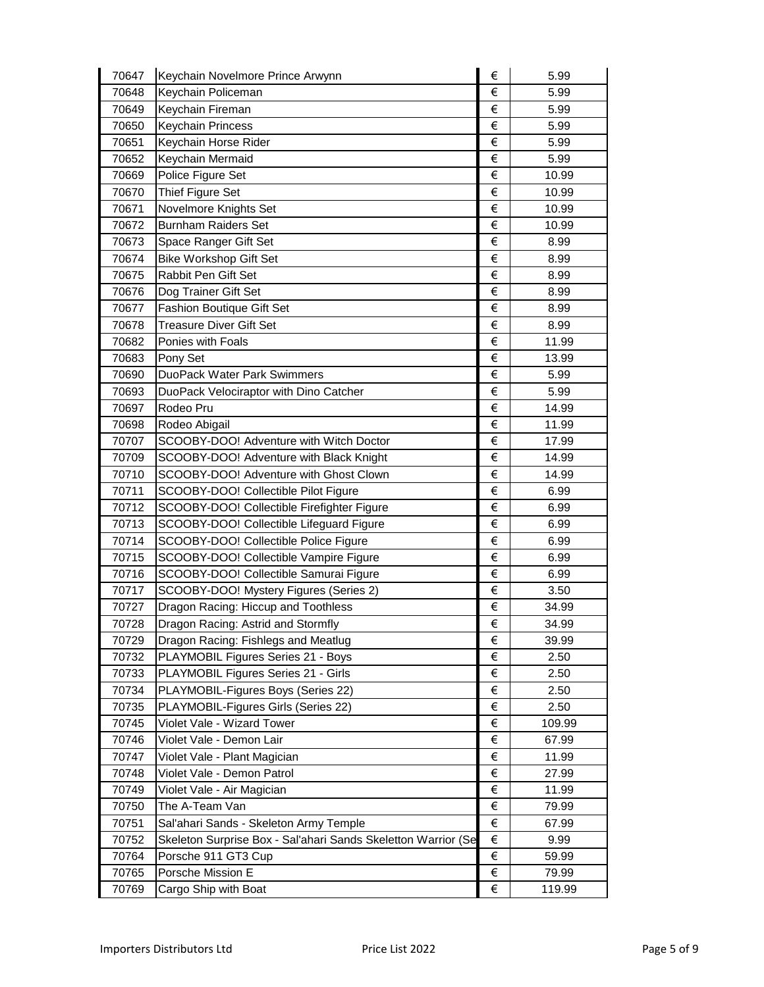| 70647 | Keychain Novelmore Prince Arwynn                              | € | 5.99   |
|-------|---------------------------------------------------------------|---|--------|
| 70648 | Keychain Policeman                                            | € | 5.99   |
| 70649 | Keychain Fireman                                              | € | 5.99   |
| 70650 | <b>Keychain Princess</b>                                      | € | 5.99   |
| 70651 | Keychain Horse Rider                                          | € | 5.99   |
| 70652 | Keychain Mermaid                                              | € | 5.99   |
| 70669 | Police Figure Set                                             | € | 10.99  |
| 70670 | Thief Figure Set                                              | € | 10.99  |
| 70671 | Novelmore Knights Set                                         | € | 10.99  |
| 70672 | <b>Burnham Raiders Set</b>                                    | € | 10.99  |
| 70673 | Space Ranger Gift Set                                         | € | 8.99   |
| 70674 | <b>Bike Workshop Gift Set</b>                                 | € | 8.99   |
| 70675 | Rabbit Pen Gift Set                                           | € | 8.99   |
| 70676 | Dog Trainer Gift Set                                          | € | 8.99   |
| 70677 | <b>Fashion Boutique Gift Set</b>                              | € | 8.99   |
| 70678 | <b>Treasure Diver Gift Set</b>                                | € | 8.99   |
| 70682 | Ponies with Foals                                             | € | 11.99  |
| 70683 | Pony Set                                                      | € | 13.99  |
| 70690 | <b>DuoPack Water Park Swimmers</b>                            | € | 5.99   |
| 70693 | DuoPack Velociraptor with Dino Catcher                        | € | 5.99   |
| 70697 | Rodeo Pru                                                     | € | 14.99  |
| 70698 | Rodeo Abigail                                                 | € | 11.99  |
| 70707 | SCOOBY-DOO! Adventure with Witch Doctor                       | € | 17.99  |
| 70709 | SCOOBY-DOO! Adventure with Black Knight                       | € | 14.99  |
| 70710 | SCOOBY-DOO! Adventure with Ghost Clown                        | € | 14.99  |
| 70711 | SCOOBY-DOO! Collectible Pilot Figure                          | € | 6.99   |
| 70712 | SCOOBY-DOO! Collectible Firefighter Figure                    | € | 6.99   |
| 70713 | SCOOBY-DOO! Collectible Lifeguard Figure                      | € | 6.99   |
| 70714 | SCOOBY-DOO! Collectible Police Figure                         | € | 6.99   |
| 70715 | SCOOBY-DOO! Collectible Vampire Figure                        | € | 6.99   |
| 70716 | SCOOBY-DOO! Collectible Samurai Figure                        | € | 6.99   |
| 70717 | SCOOBY-DOO! Mystery Figures (Series 2)                        | € | 3.50   |
| 70727 | Dragon Racing: Hiccup and Toothless                           | € | 34.99  |
| 70728 | Dragon Racing: Astrid and Stormfly                            | € | 34.99  |
| 70729 | Dragon Racing: Fishlegs and Meatlug                           | € | 39.99  |
| 70732 | PLAYMOBIL Figures Series 21 - Boys                            | € | 2.50   |
| 70733 | PLAYMOBIL Figures Series 21 - Girls                           | € | 2.50   |
| 70734 | PLAYMOBIL-Figures Boys (Series 22)                            | € | 2.50   |
| 70735 | PLAYMOBIL-Figures Girls (Series 22)                           | € | 2.50   |
| 70745 | Violet Vale - Wizard Tower                                    | € | 109.99 |
| 70746 | Violet Vale - Demon Lair                                      | € | 67.99  |
| 70747 | Violet Vale - Plant Magician                                  | € | 11.99  |
| 70748 | Violet Vale - Demon Patrol                                    | € | 27.99  |
| 70749 | Violet Vale - Air Magician                                    | € | 11.99  |
| 70750 | The A-Team Van                                                | € | 79.99  |
| 70751 | Sal'ahari Sands - Skeleton Army Temple                        | € | 67.99  |
| 70752 | Skeleton Surprise Box - Sal'ahari Sands Skeletton Warrior (Se | € | 9.99   |
| 70764 | Porsche 911 GT3 Cup                                           | € | 59.99  |
| 70765 | Porsche Mission E                                             | € | 79.99  |
| 70769 | Cargo Ship with Boat                                          | € | 119.99 |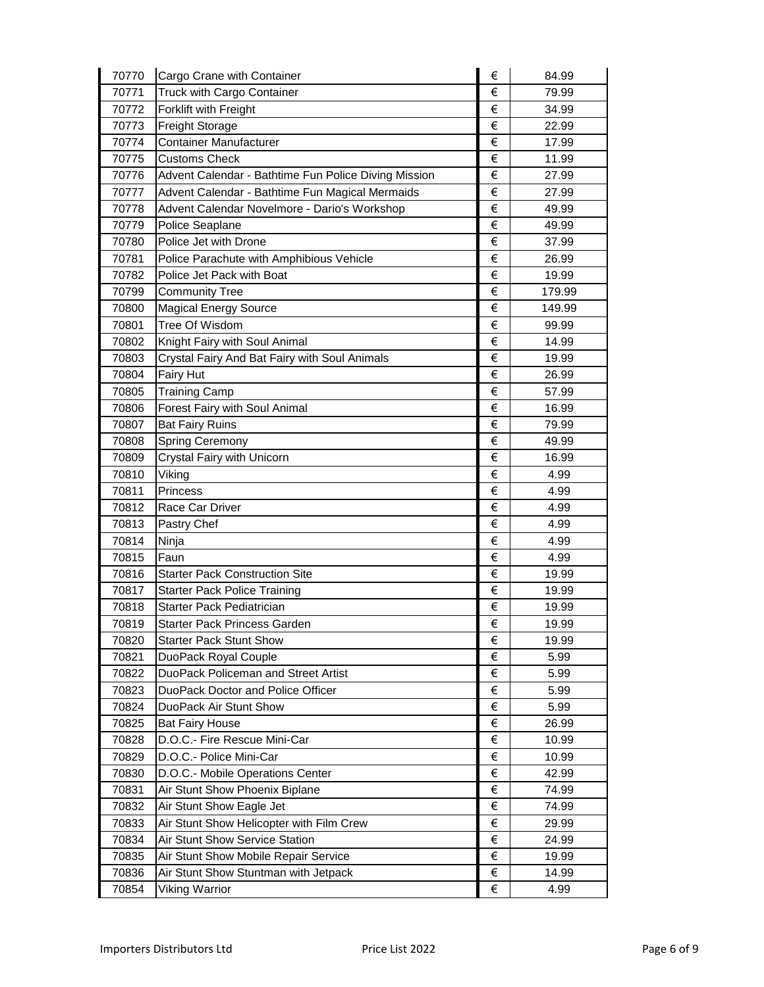| 70770          | Cargo Crane with Container                             | €      | 84.99         |
|----------------|--------------------------------------------------------|--------|---------------|
| 70771          | Truck with Cargo Container                             | €      | 79.99         |
| 70772          | Forklift with Freight                                  | €      | 34.99         |
| 70773          | <b>Freight Storage</b>                                 | €      | 22.99         |
| 70774          | Container Manufacturer                                 | €      | 17.99         |
| 70775          | <b>Customs Check</b>                                   | €      | 11.99         |
| 70776          | Advent Calendar - Bathtime Fun Police Diving Mission   | €      | 27.99         |
| 70777          | Advent Calendar - Bathtime Fun Magical Mermaids        | €      | 27.99         |
| 70778          | Advent Calendar Novelmore - Dario's Workshop           | €      | 49.99         |
| 70779          | Police Seaplane                                        | €      | 49.99         |
| 70780          | Police Jet with Drone                                  | €      | 37.99         |
| 70781          | Police Parachute with Amphibious Vehicle               | €      | 26.99         |
| 70782          | Police Jet Pack with Boat                              | €      | 19.99         |
| 70799          | <b>Community Tree</b>                                  | €      | 179.99        |
| 70800          | <b>Magical Energy Source</b>                           | €      | 149.99        |
| 70801          | Tree Of Wisdom                                         | €      | 99.99         |
| 70802          | Knight Fairy with Soul Animal                          | €      | 14.99         |
| 70803          | Crystal Fairy And Bat Fairy with Soul Animals          | €      | 19.99         |
| 70804          | <b>Fairy Hut</b>                                       | €      | 26.99         |
| 70805          | <b>Training Camp</b>                                   | €      | 57.99         |
| 70806          | Forest Fairy with Soul Animal                          | €      | 16.99         |
| 70807          | <b>Bat Fairy Ruins</b>                                 | €      | 79.99         |
| 70808          | Spring Ceremony                                        | €      | 49.99         |
| 70809          | Crystal Fairy with Unicorn                             | €      | 16.99         |
| 70810          | Viking                                                 | €      | 4.99          |
| 70811          | Princess                                               | €      | 4.99          |
|                |                                                        |        |               |
| 70812          | Race Car Driver                                        | €      | 4.99          |
| 70813          | Pastry Chef                                            | €      | 4.99          |
| 70814          | Ninja                                                  | €      | 4.99          |
| 70815          | Faun                                                   | €      | 4.99          |
| 70816          | <b>Starter Pack Construction Site</b>                  | €      | 19.99         |
| 70817          | <b>Starter Pack Police Training</b>                    | €      | 19.99         |
| 70818          | Starter Pack Pediatrician                              | €      | 19.99         |
| 70819          | Starter Pack Princess Garden                           | €      | 19.99         |
| 70820          | <b>Starter Pack Stunt Show</b>                         | €      | 19.99         |
| 70821          | DuoPack Royal Couple                                   | €      | 5.99          |
| 70822          | DuoPack Policeman and Street Artist                    | €      | 5.99          |
| 70823          | DuoPack Doctor and Police Officer                      | €      | 5.99          |
| 70824          | DuoPack Air Stunt Show                                 | €      | 5.99          |
| 70825          | <b>Bat Fairy House</b>                                 | €      | 26.99         |
| 70828          | D.O.C.- Fire Rescue Mini-Car                           | €      | 10.99         |
| 70829          | D.O.C.- Police Mini-Car                                | €      | 10.99         |
| 70830          | D.O.C.- Mobile Operations Center                       | €      | 42.99         |
| 70831          | Air Stunt Show Phoenix Biplane                         | €      | 74.99         |
| 70832          | Air Stunt Show Eagle Jet                               | €      | 74.99         |
| 70833          | Air Stunt Show Helicopter with Film Crew               | €      | 29.99         |
| 70834          | Air Stunt Show Service Station                         | €      | 24.99         |
| 70835          | Air Stunt Show Mobile Repair Service                   | €      | 19.99         |
| 70836<br>70854 | Air Stunt Show Stuntman with Jetpack<br>Viking Warrior | €<br>€ | 14.99<br>4.99 |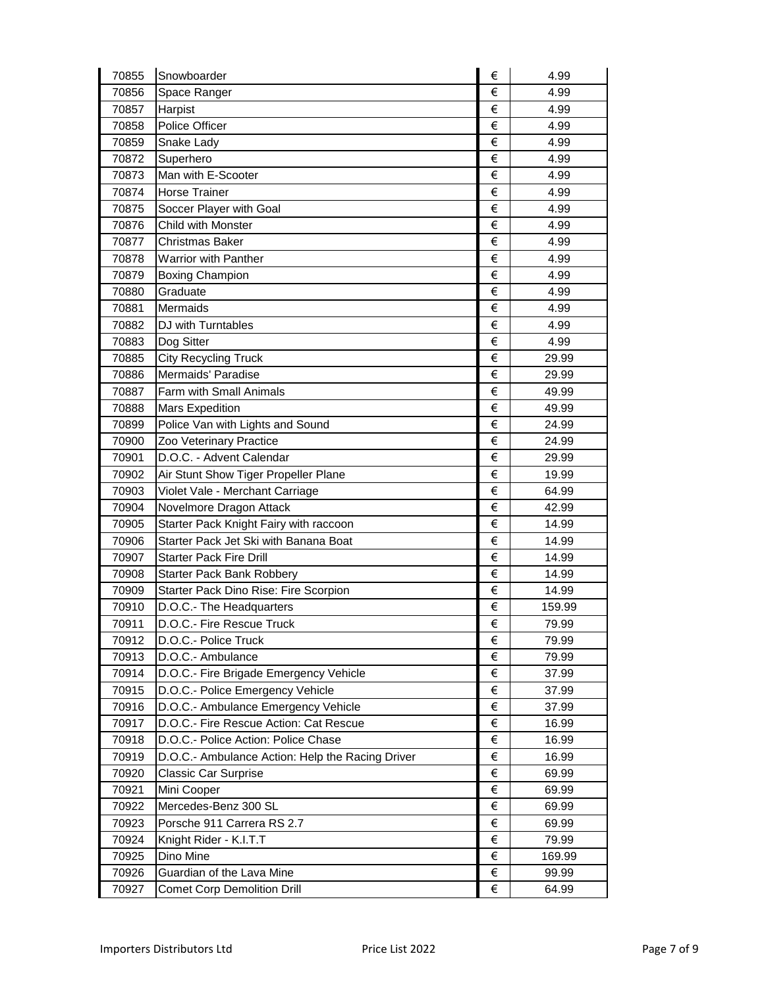| 70855 | Snowboarder                                      | € | 4.99   |
|-------|--------------------------------------------------|---|--------|
| 70856 | Space Ranger                                     | € | 4.99   |
| 70857 | Harpist                                          | € | 4.99   |
| 70858 | Police Officer                                   | € | 4.99   |
| 70859 | Snake Lady                                       | € | 4.99   |
| 70872 | Superhero                                        | € | 4.99   |
| 70873 | Man with E-Scooter                               | € | 4.99   |
| 70874 | <b>Horse Trainer</b>                             | € | 4.99   |
| 70875 | Soccer Player with Goal                          | € | 4.99   |
| 70876 | Child with Monster                               | € | 4.99   |
| 70877 | <b>Christmas Baker</b>                           | € | 4.99   |
| 70878 | <b>Warrior with Panther</b>                      | € | 4.99   |
| 70879 | <b>Boxing Champion</b>                           | € | 4.99   |
| 70880 | Graduate                                         | € | 4.99   |
| 70881 | Mermaids                                         | € | 4.99   |
| 70882 | DJ with Turntables                               | € | 4.99   |
| 70883 | Dog Sitter                                       | € | 4.99   |
| 70885 | <b>City Recycling Truck</b>                      | € | 29.99  |
| 70886 | Mermaids' Paradise                               | € | 29.99  |
| 70887 | Farm with Small Animals                          | € | 49.99  |
| 70888 | <b>Mars Expedition</b>                           | € | 49.99  |
| 70899 | Police Van with Lights and Sound                 | € | 24.99  |
| 70900 | Zoo Veterinary Practice                          | € | 24.99  |
| 70901 | D.O.C. - Advent Calendar                         | € | 29.99  |
| 70902 | Air Stunt Show Tiger Propeller Plane             | € | 19.99  |
| 70903 | Violet Vale - Merchant Carriage                  | € | 64.99  |
| 70904 | Novelmore Dragon Attack                          | € | 42.99  |
| 70905 | Starter Pack Knight Fairy with raccoon           | € | 14.99  |
| 70906 | Starter Pack Jet Ski with Banana Boat            | € | 14.99  |
| 70907 | <b>Starter Pack Fire Drill</b>                   | € | 14.99  |
| 70908 | <b>Starter Pack Bank Robbery</b>                 | € | 14.99  |
| 70909 | <b>Starter Pack Dino Rise: Fire Scorpion</b>     | € | 14.99  |
| 70910 | D.O.C.- The Headquarters                         | € | 159.99 |
| 70911 | D.O.C.- Fire Rescue Truck                        | € | 79.99  |
| 70912 | D.O.C.- Police Truck                             | € | 79.99  |
| 70913 | D.O.C.- Ambulance                                | € | 79.99  |
| 70914 | D.O.C.- Fire Brigade Emergency Vehicle           | € | 37.99  |
| 70915 | D.O.C.- Police Emergency Vehicle                 | € | 37.99  |
| 70916 | D.O.C.- Ambulance Emergency Vehicle              | € | 37.99  |
| 70917 | D.O.C.- Fire Rescue Action: Cat Rescue           | € | 16.99  |
| 70918 | D.O.C.- Police Action: Police Chase              | € | 16.99  |
| 70919 | D.O.C.- Ambulance Action: Help the Racing Driver | € | 16.99  |
| 70920 | <b>Classic Car Surprise</b>                      | € | 69.99  |
| 70921 | Mini Cooper                                      | € | 69.99  |
| 70922 | Mercedes-Benz 300 SL                             | € | 69.99  |
| 70923 | Porsche 911 Carrera RS 2.7                       | € | 69.99  |
| 70924 | Knight Rider - K.I.T.T                           | € | 79.99  |
| 70925 | Dino Mine                                        | € | 169.99 |
| 70926 | Guardian of the Lava Mine                        | € | 99.99  |
| 70927 | <b>Comet Corp Demolition Drill</b>               | € | 64.99  |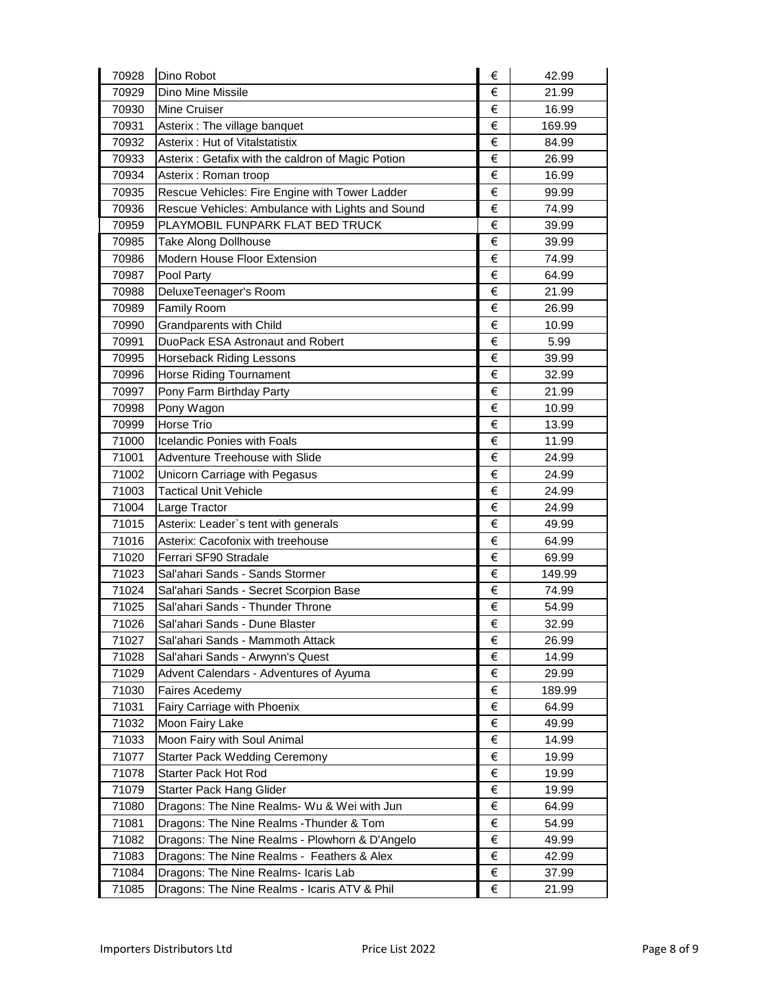| 70928 | Dino Robot                                        | € | 42.99  |
|-------|---------------------------------------------------|---|--------|
| 70929 | Dino Mine Missile                                 | € | 21.99  |
| 70930 | Mine Cruiser                                      | € | 16.99  |
| 70931 | Asterix: The village banquet                      | € | 169.99 |
| 70932 | Asterix: Hut of Vitalstatistix                    | € | 84.99  |
| 70933 | Asterix: Getafix with the caldron of Magic Potion | € | 26.99  |
| 70934 | Asterix: Roman troop                              | € | 16.99  |
| 70935 | Rescue Vehicles: Fire Engine with Tower Ladder    | € | 99.99  |
| 70936 | Rescue Vehicles: Ambulance with Lights and Sound  | € | 74.99  |
| 70959 | PLAYMOBIL FUNPARK FLAT BED TRUCK                  | € | 39.99  |
| 70985 | <b>Take Along Dollhouse</b>                       | € | 39.99  |
| 70986 | Modern House Floor Extension                      | € | 74.99  |
| 70987 | Pool Party                                        | € | 64.99  |
| 70988 | DeluxeTeenager's Room                             | € | 21.99  |
| 70989 | <b>Family Room</b>                                | € | 26.99  |
| 70990 | <b>Grandparents with Child</b>                    | € | 10.99  |
| 70991 | DuoPack ESA Astronaut and Robert                  | € | 5.99   |
| 70995 | <b>Horseback Riding Lessons</b>                   | € | 39.99  |
| 70996 | <b>Horse Riding Tournament</b>                    | € | 32.99  |
| 70997 | Pony Farm Birthday Party                          | € | 21.99  |
| 70998 | Pony Wagon                                        | € | 10.99  |
| 70999 | Horse Trio                                        | € | 13.99  |
| 71000 | <b>Icelandic Ponies with Foals</b>                | € | 11.99  |
| 71001 | Adventure Treehouse with Slide                    | € | 24.99  |
| 71002 | Unicorn Carriage with Pegasus                     | € | 24.99  |
| 71003 | <b>Tactical Unit Vehicle</b>                      | € | 24.99  |
| 71004 | Large Tractor                                     | € | 24.99  |
| 71015 | Asterix: Leader's tent with generals              | € | 49.99  |
| 71016 | Asterix: Cacofonix with treehouse                 | € | 64.99  |
| 71020 | Ferrari SF90 Stradale                             | € | 69.99  |
| 71023 | Sal'ahari Sands - Sands Stormer                   | € | 149.99 |
| 71024 | Sal'ahari Sands - Secret Scorpion Base            | € | 74.99  |
| 71025 | Sal'ahari Sands - Thunder Throne                  | € | 54.99  |
| 71026 | Sal'ahari Sands - Dune Blaster                    | € | 32.99  |
| 71027 | Sal'ahari Sands - Mammoth Attack                  | € | 26.99  |
| 71028 | Sal'ahari Sands - Arwynn's Quest                  | € | 14.99  |
| 71029 | Advent Calendars - Adventures of Ayuma            | € | 29.99  |
| 71030 | <b>Faires Acedemy</b>                             | € | 189.99 |
| 71031 | Fairy Carriage with Phoenix                       | € | 64.99  |
| 71032 | Moon Fairy Lake                                   | € | 49.99  |
| 71033 | Moon Fairy with Soul Animal                       | € | 14.99  |
| 71077 | <b>Starter Pack Wedding Ceremony</b>              | € | 19.99  |
| 71078 | Starter Pack Hot Rod                              | € | 19.99  |
| 71079 | Starter Pack Hang Glider                          | € | 19.99  |
| 71080 | Dragons: The Nine Realms- Wu & Wei with Jun       | € | 64.99  |
| 71081 | Dragons: The Nine Realms - Thunder & Tom          | € | 54.99  |
| 71082 | Dragons: The Nine Realms - Plowhorn & D'Angelo    | € | 49.99  |
| 71083 | Dragons: The Nine Realms - Feathers & Alex        | € | 42.99  |
| 71084 | Dragons: The Nine Realms- Icaris Lab              | € | 37.99  |
| 71085 | Dragons: The Nine Realms - Icaris ATV & Phil      | € | 21.99  |